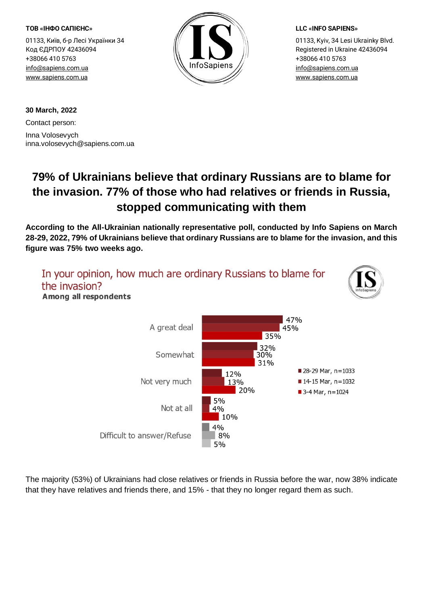#### **ТОВ «ІНФО САПІЄНС»**

01133, Київ, б-р Лесі Українки 34 Код ЄДРПОУ 42436094 +38066 410 5763 [info@sapiens.com.ua](mailto:info@sapiens.com.ua) [www.sapiens.com.ua](http://www.sapiens.com.ua/)



### **LLC «INFO SAPIENS»**

01133, Kyiv, 34 Lesi Ukrainky Blvd. Registered in Ukraine 42436094 +38066 410 5763 [info@sapiens.com.ua](mailto:info@sapiens.com.ua) [www.sapiens.com.ua](http://www.sapiens.com.ua/)

**30 March, 2022**

Contact person: Inna Volosevych inna.volosevych@sapiens.com.ua

# **79% of Ukrainians believe that ordinary Russians are to blame for the invasion. 77% of those who had relatives or friends in Russia, stopped communicating with them**

**According to the All-Ukrainian nationally representative poll, conducted by Info Sapiens on March 28-29, 2022, 79% of Ukrainians believe that ordinary Russians are to blame for the invasion, and this figure was 75% two weeks ago.**



The majority (53%) of Ukrainians had close relatives or friends in Russia before the war, now 38% indicate that they have relatives and friends there, and 15% - that they no longer regard them as such.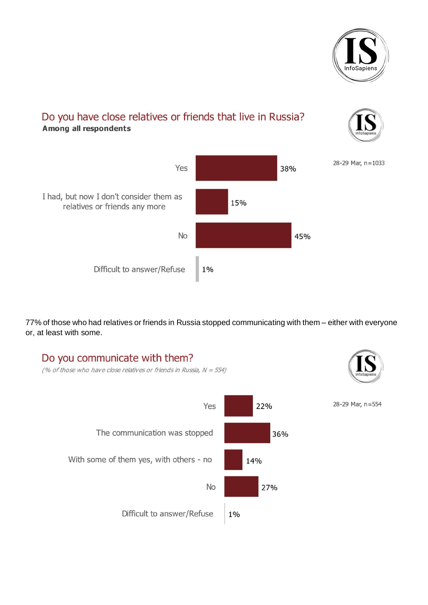

# Do you have close relatives or friends that live in Russia? **Among all respondents**





77% of those who had relatives or friends in Russia stopped communicating with them – either with everyone or, at least with some.

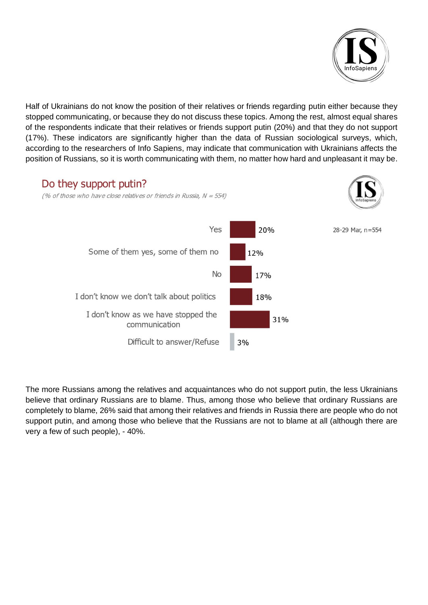

Half of Ukrainians do not know the position of their relatives or friends regarding putin either because they stopped communicating, or because they do not discuss these topics. Among the rest, almost equal shares of the respondents indicate that their relatives or friends support putin (20%) and that they do not support (17%). These indicators are significantly higher than the data of Russian sociological surveys, which, according to the researchers of Info Sapiens, may indicate that communication with Ukrainians affects the position of Russians, so it is worth communicating with them, no matter how hard and unpleasant it may be.



The more Russians among the relatives and acquaintances who do not support putin, the less Ukrainians believe that ordinary Russians are to blame. Thus, among those who believe that ordinary Russians are completely to blame, 26% said that among their relatives and friends in Russia there are people who do not support putin, and among those who believe that the Russians are not to blame at all (although there are very a few of such people), - 40%.